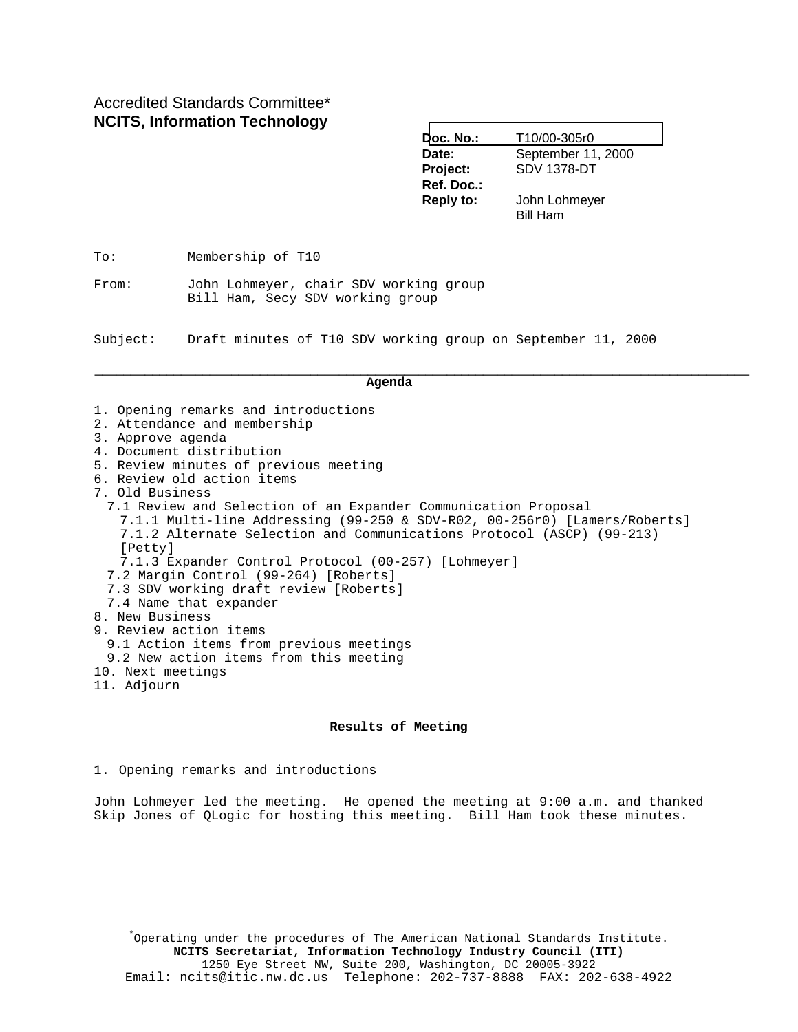# Accredited Standards Committee\* **NCITS, Information Technology**

| T10/00-305r0                                            |  |  |
|---------------------------------------------------------|--|--|
| September 11, 2000                                      |  |  |
| <b>SDV 1378-DT</b>                                      |  |  |
|                                                         |  |  |
| John Lohmeyer                                           |  |  |
| <b>Bill Ham</b>                                         |  |  |
| Doc. No.:<br>Project:<br>Ref. Doc.:<br><b>Reply to:</b> |  |  |

To: Membership of T10

From: John Lohmeyer, chair SDV working group Bill Ham, Secy SDV working group

Subject: Draft minutes of T10 SDV working group on September 11, 2000

#### **Agenda**

\_\_\_\_\_\_\_\_\_\_\_\_\_\_\_\_\_\_\_\_\_\_\_\_\_\_\_\_\_\_\_\_\_\_\_\_\_\_\_\_\_\_\_\_\_\_\_\_\_\_\_\_\_\_\_\_\_\_\_\_\_\_\_\_\_\_\_\_\_\_\_\_\_\_\_\_\_\_\_\_\_\_\_\_\_\_\_\_\_\_\_

- 1. Opening remarks and introductions
- 2. Attendance and membership
- 3. Approve agenda
- 4. Document distribution
- 5. Review minutes of previous meeting
- 6. Review old action items
- 7. Old Business

7.1 Review and Selection of an Expander Communication Proposal 7.1.1 Multi-line Addressing (99-250 & SDV-R02, 00-256r0) [Lamers/Roberts] 7.1.2 Alternate Selection and Communications Protocol (ASCP) (99-213) [Petty] 7.1.3 Expander Control Protocol (00-257) [Lohmeyer] 7.2 Margin Control (99-264) [Roberts] 7.3 SDV working draft review [Roberts] 7.4 Name that expander 8. New Business 9. Review action items 9.1 Action items from previous meetings 9.2 New action items from this meeting 10. Next meetings 11. Adjourn

#### **Results of Meeting**

1. Opening remarks and introductions

John Lohmeyer led the meeting. He opened the meeting at 9:00 a.m. and thanked Skip Jones of QLogic for hosting this meeting. Bill Ham took these minutes.

\* Operating under the procedures of The American National Standards Institute. **NCITS Secretariat, Information Technology Industry Council (ITI)** 1250 Eye Street NW, Suite 200, Washington, DC 20005-3922 Email: ncits@itic.nw.dc.us Telephone: 202-737-8888 FAX: 202-638-4922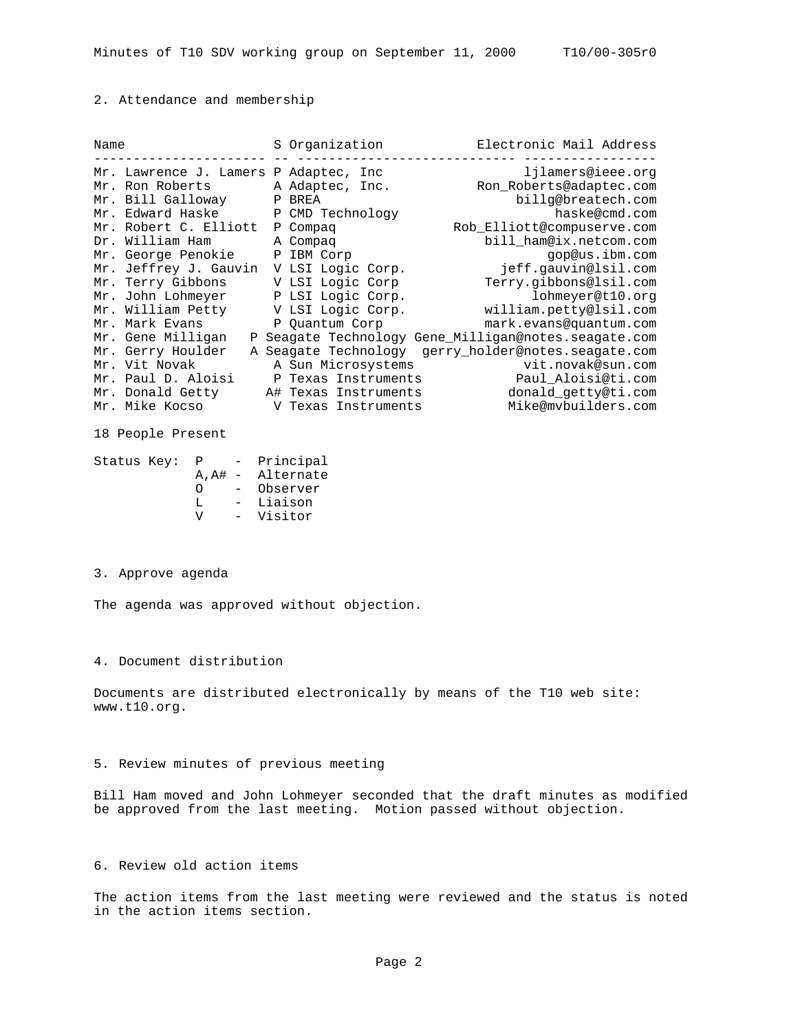### 2. Attendance and membership

| Name |                        |   | S Organization       | Electronic Mail Address                            |
|------|------------------------|---|----------------------|----------------------------------------------------|
|      | Mr. Lawrence J. Lamers |   | P Adaptec, Inc       | ljlamers@ieee.org                                  |
|      | Mr. Ron Roberts        |   | A Adaptec, Inc.      | Ron_Roberts@adaptec.com                            |
|      | Mr. Bill Galloway      | Ρ | BREA                 | billg@breatech.com                                 |
|      | Mr. Edward Haske       |   | CMD Technology       | haske@cmd.com                                      |
|      | Mr. Robert C. Elliott  | Ρ | Compaq               | Rob_Elliott@compuserve.com                         |
|      | Dr. William Ham        |   | A Compaq             | bill_ham@ix.netcom.com                             |
|      | Mr. George Penokie     | Ρ | IBM Corp             | gop@us.ibm.com                                     |
|      | Mr. Jeffrey J. Gauvin  |   | V LSI Logic Corp.    | jeff.qauvin@lsil.com                               |
|      | Mr. Terry Gibbons      |   | V LSI Logic Corp     | Terry.qibbons@lsil.com                             |
|      | Mr. John Lohmeyer      |   | P LSI Logic Corp.    | lohmeyer@t10.org                                   |
|      | Mr. William Petty      |   | V LSI Logic Corp.    | william.petty@lsil.com                             |
|      | Mr. Mark Evans         |   | P Quantum Corp       | mark.evans@quantum.com                             |
|      | Mr. Gene Milligan      |   |                      | Seagate Technology Gene_Milligan@notes.seagate.com |
|      | Mr. Gerry Houlder<br>A |   |                      | Seagate Technology gerry holder@notes.seagate.com  |
|      | Mr. Vit Novak          |   | A Sun Microsystems   | vit.novak@sun.com                                  |
|      | Mr. Paul D. Aloisi     |   | Texas Instruments    | Paul Aloisi@ti.com                                 |
|      | Mr. Donald Getty       |   | A# Texas Instruments | donald_getty@ti.com                                |
|      | Mr. Mike Kocso         |   | V Texas Instruments  | Mike@mvbuilders.com                                |

18 People Present

Status Key: P - Principal A,A# - Alternate O - Observer L - Liaison V - Visitor

### 3. Approve agenda

The agenda was approved without objection.

4. Document distribution

Documents are distributed electronically by means of the T10 web site: www.t10.org.

## 5. Review minutes of previous meeting

Bill Ham moved and John Lohmeyer seconded that the draft minutes as modified be approved from the last meeting. Motion passed without objection.

# 6. Review old action items

The action items from the last meeting were reviewed and the status is noted in the action items section.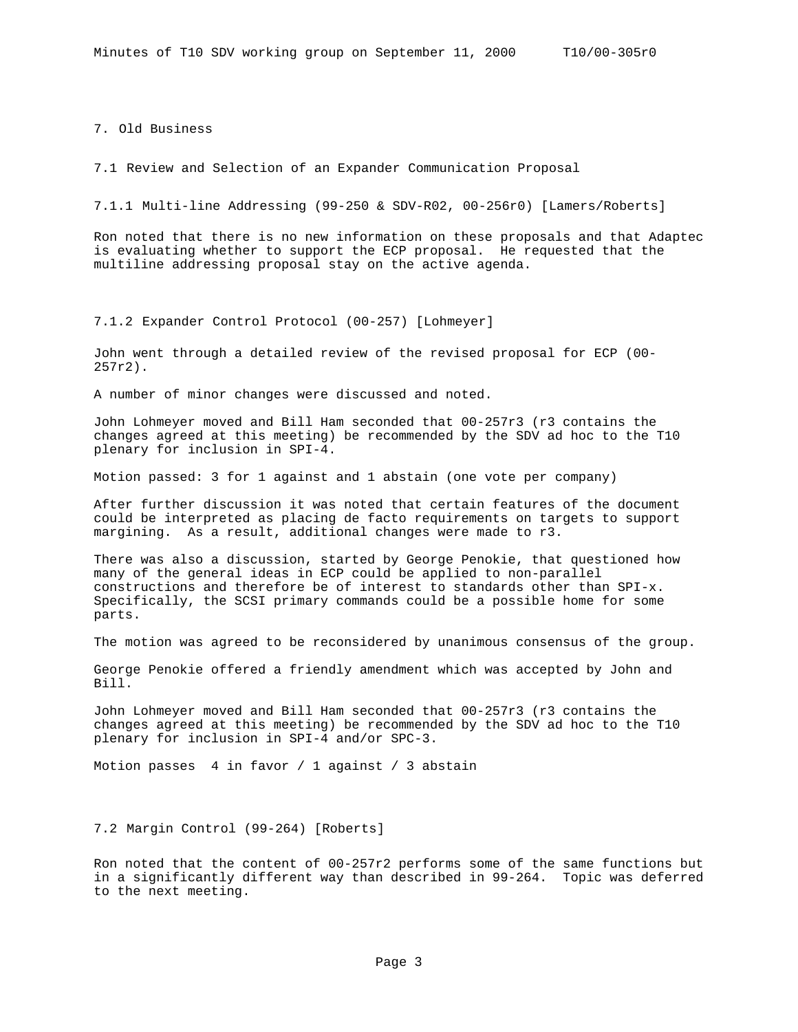7. Old Business

7.1 Review and Selection of an Expander Communication Proposal

7.1.1 Multi-line Addressing (99-250 & SDV-R02, 00-256r0) [Lamers/Roberts]

Ron noted that there is no new information on these proposals and that Adaptec is evaluating whether to support the ECP proposal. He requested that the multiline addressing proposal stay on the active agenda.

7.1.2 Expander Control Protocol (00-257) [Lohmeyer]

John went through a detailed review of the revised proposal for ECP (00- 257r2).

A number of minor changes were discussed and noted.

John Lohmeyer moved and Bill Ham seconded that 00-257r3 (r3 contains the changes agreed at this meeting) be recommended by the SDV ad hoc to the T10 plenary for inclusion in SPI-4.

Motion passed: 3 for 1 against and 1 abstain (one vote per company)

After further discussion it was noted that certain features of the document could be interpreted as placing de facto requirements on targets to support margining. As a result, additional changes were made to r3.

There was also a discussion, started by George Penokie, that questioned how many of the general ideas in ECP could be applied to non-parallel constructions and therefore be of interest to standards other than SPI-x. Specifically, the SCSI primary commands could be a possible home for some parts.

The motion was agreed to be reconsidered by unanimous consensus of the group.

George Penokie offered a friendly amendment which was accepted by John and Bill.

John Lohmeyer moved and Bill Ham seconded that 00-257r3 (r3 contains the changes agreed at this meeting) be recommended by the SDV ad hoc to the T10 plenary for inclusion in SPI-4 and/or SPC-3.

Motion passes 4 in favor / 1 against / 3 abstain

7.2 Margin Control (99-264) [Roberts]

Ron noted that the content of 00-257r2 performs some of the same functions but in a significantly different way than described in 99-264. Topic was deferred to the next meeting.